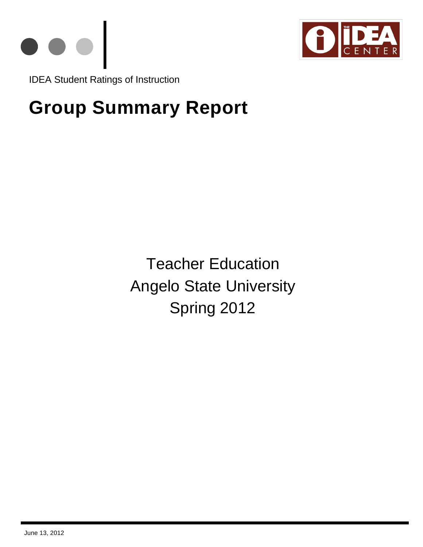



IDEA Student Ratings of Instruction

# **Group Summary Report**

Teacher Education Angelo State University Spring 2012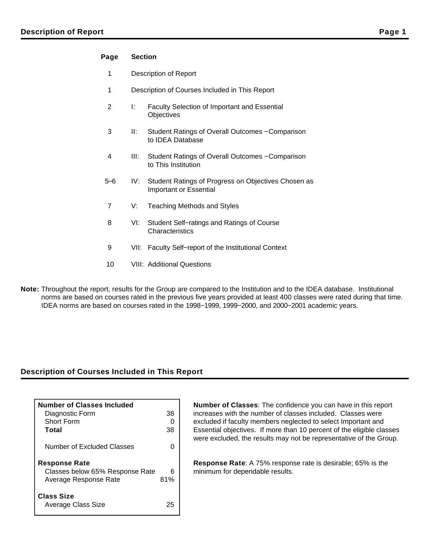## **Page Section**

- 1 Description of Report
- 1 Description of Courses Included in This Report
- 2 I: Faculty Selection of Important and Essential **Objectives**
- 3 II: Student Ratings of Overall Outcomes − Comparison to IDEA Database
- 4 III: Student Ratings of Overall Outcomes − Comparison to This Institution
- 5−6 IV: Student Ratings of Progress on Objectives Chosen as Important or Essential
- 7 V: Teaching Methods and Styles
- 8 VI: Student Self−ratings and Ratings of Course **Characteristics**
- 9 VII: Faculty Self–report of the Institutional Context
- 10 VIII: Additional Questions
- **Note:** Throughout the report, results for the Group are compared to the Institution and to the IDEA database. Institutional norms are based on courses rated in the previous five years provided at least 400 classes were rated during that time. IDEA norms are based on courses rated in the 1998−1999, 1999−2000, and 2000−2001 academic years.

## **Description of Courses Included in This Report**

| Number of Classes Included<br>Diagnostic Form                                    | 38       |
|----------------------------------------------------------------------------------|----------|
| <b>Short Form</b>                                                                |          |
| Total                                                                            | 38       |
| Number of Excluded Classes                                                       |          |
| <b>Response Rate</b><br>Classes below 65% Response Rate<br>Average Response Rate | 6<br>81% |
| <b>Class Size</b><br>Average Class Size                                          | 7.       |

**Number of Classes**: The confidence you can have in this report increases with the number of classes included. Classes were excluded if faculty members neglected to select Important and Essential objectives. If more than 10 percent of the eligible classes were excluded, the results may not be representative of the Group.

**Response Rate**: A 75% response rate is desirable; 65% is the minimum for dependable results.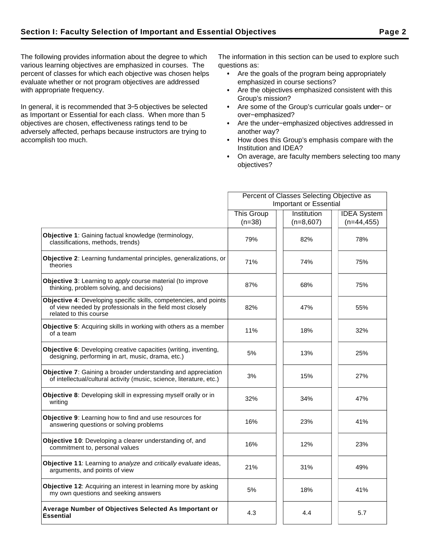The following provides information about the degree to which various learning objectives are emphasized in courses. The percent of classes for which each objective was chosen helps evaluate whether or not program objectives are addressed with appropriate frequency.

In general, it is recommended that 3−5 objectives be selected as Important or Essential for each class. When more than 5 objectives are chosen, effectiveness ratings tend to be adversely affected, perhaps because instructors are trying to accomplish too much.

The information in this section can be used to explore such questions as:

- Are the goals of the program being appropriately emphasized in course sections?
- Are the objectives emphasized consistent with this Group's mission?
- Are some of the Group's curricular goals under− or over−emphasized?
- Are the under−emphasized objectives addressed in another way?
- How does this Group's emphasis compare with the Institution and IDEA?
- On average, are faculty members selecting too many objectives?

|                                                                                                                                                          |                   | Percent of Classes Selecting Objective as |                    |
|----------------------------------------------------------------------------------------------------------------------------------------------------------|-------------------|-------------------------------------------|--------------------|
|                                                                                                                                                          |                   | <b>Important or Essential</b>             |                    |
|                                                                                                                                                          | <b>This Group</b> | Institution                               | <b>IDEA</b> System |
|                                                                                                                                                          | $(n=38)$          | $(n=8,607)$                               | $(n=44, 455)$      |
| Objective 1: Gaining factual knowledge (terminology,<br>classifications, methods, trends)                                                                | 79%               | 82%                                       | 78%                |
| Objective 2: Learning fundamental principles, generalizations, or<br>theories                                                                            | 71%               | 74%                                       | 75%                |
| <b>Objective 3:</b> Learning to apply course material (to improve<br>thinking, problem solving, and decisions)                                           | 87%               | 68%                                       | 75%                |
| Objective 4: Developing specific skills, competencies, and points<br>of view needed by professionals in the field most closely<br>related to this course | 82%               | 47%                                       | 55%                |
| <b>Objective 5:</b> Acquiring skills in working with others as a member<br>of a team                                                                     | 11%               | 18%                                       | 32%                |
| Objective 6: Developing creative capacities (writing, inventing,<br>designing, performing in art, music, drama, etc.)                                    | 5%                | 13%                                       | 25%                |
| <b>Objective 7:</b> Gaining a broader understanding and appreciation<br>of intellectual/cultural activity (music, science, literature, etc.)             | 3%                | 15%                                       | 27%                |
| Objective 8: Developing skill in expressing myself orally or in<br>writing                                                                               | 32%               | 34%                                       | 47%                |
| Objective 9: Learning how to find and use resources for<br>answering questions or solving problems                                                       | 16%               | 23%                                       | 41%                |
| Objective 10: Developing a clearer understanding of, and<br>commitment to, personal values                                                               | 16%               | 12%                                       | 23%                |
| <b>Objective 11:</b> Learning to analyze and critically evaluate ideas,<br>arguments, and points of view                                                 | 21%               | 31%                                       | 49%                |
| Objective 12: Acquiring an interest in learning more by asking<br>my own questions and seeking answers                                                   | 5%                | 18%                                       | 41%                |
| Average Number of Objectives Selected As Important or<br><b>Essential</b>                                                                                | 4.3               | 4.4                                       | 5.7                |
|                                                                                                                                                          |                   |                                           |                    |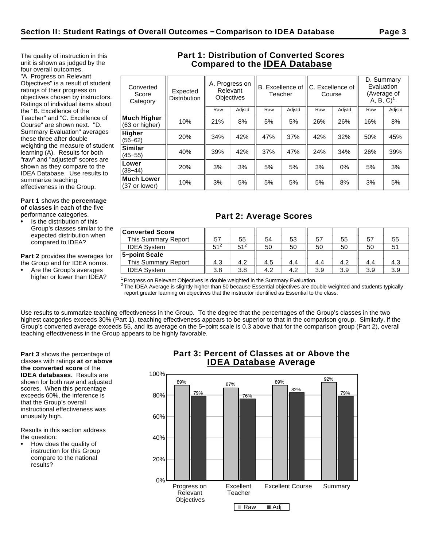The quality of instruction in this unit is shown as judged by the four overall outcomes. "A. Progress on Relevant Objectives" is a result of student ratings of their progress on objectives chosen by instructors. Ratings of individual items about the "B. Excellence of the Teacher" and "C. Excellence of Course" are shown next. "D. Summary Evaluation" averages these three after double weighting the measure of student learning (A). Results for both "raw" and "adjusted" scores are shown as they compare to the IDEA Database. Use results to summarize teaching

effectiveness in the Group.

**Part 1** shows the **percentage of classes** in each of the five performance categories.

- Is the distribution of this Group's classes similar to the expected distribution when
- compared to IDEA? **Part 2** provides the averages for

the Group and for IDEA norms.

Are the Group's averages higher or lower than IDEA?

# **Part 1: Distribution of Converted Scores Compared to the IDEA Database**

| Converted<br>Score<br>Category | Expected<br><b>Distribution</b> |     | A. Progress on<br>Relevant<br><b>Objectives</b> | Teacher |        | B. Excellence of |        |     |        | C. Excellence of<br>Course |  | D. Summary<br>Evaluation<br>(Average of<br>$A, B, C$ <sup>1</sup> |  |
|--------------------------------|---------------------------------|-----|-------------------------------------------------|---------|--------|------------------|--------|-----|--------|----------------------------|--|-------------------------------------------------------------------|--|
|                                |                                 | Raw | Adjstd                                          | Raw     | Adjstd | Raw              | Adjstd | Raw | Adjstd |                            |  |                                                                   |  |
| Much Higher<br>(63 or higher)  | 10%                             | 21% | 8%                                              | 5%      | 5%     | 26%              | 26%    | 16% | 8%     |                            |  |                                                                   |  |
| Higher<br>$(56 - 62)$          | 20%                             | 34% | 42%                                             | 47%     | 37%    | 42%              | 32%    | 50% | 45%    |                            |  |                                                                   |  |
| Similar<br>$(45 - 55)$         | 40%                             | 39% | 42%                                             | 37%     | 47%    | 24%              | 34%    | 26% | 39%    |                            |  |                                                                   |  |
| Lower<br>$(38 - 44)$           | 20%                             | 3%  | 3%                                              | 5%      | 5%     | 3%               | 0%     | 5%  | 3%     |                            |  |                                                                   |  |
| Much Lower<br>(37 or lower)    | 10%                             | 3%  | 5%                                              | 5%      | 5%     | 5%               | 8%     | 3%  | 5%     |                            |  |                                                                   |  |
|                                |                                 |     |                                                 |         |        |                  |        |     |        |                            |  |                                                                   |  |

# **Part 2: Average Scores**

| <b>Converted Score</b><br>This Summary Report | 57              | 55              | 54  | 53  | 57  | 55  | 57  | 55  |
|-----------------------------------------------|-----------------|-----------------|-----|-----|-----|-----|-----|-----|
| <b>IDEA System</b>                            | 51 <sup>2</sup> | 51 <sup>2</sup> | 50  | 50  | 50  | 50  | 50  |     |
| 5-point Scale                                 |                 |                 |     |     |     |     |     |     |
| This Summary Report                           | 4.3             | 4.2             | 4.5 | 4.4 | 4.4 | 4.2 | 4.4 |     |
| <b>IDEA System</b>                            | 3.8             | 3.8             | 4.2 | 4.2 | 3.9 | 3.9 | 3.9 | 3.9 |

 $1$ Progress on Relevant Objectives is double weighted in the Summary Evaluation.

 $^2$  The IDEA Average is slightly higher than 50 because Essential objectives are double weighted and students typically report greater learning on objectives that the instructor identified as Essential to the class.

Use results to summarize teaching effectiveness in the Group. To the degree that the percentages of the Group's classes in the two highest categories exceeds 30% (Part 1), teaching effectiveness appears to be superior to that in the comparison group. Similarly, if the Group's converted average exceeds 55, and its average on the 5−point scale is 0.3 above that for the comparison group (Part 2), overall teaching effectiveness in the Group appears to be highly favorable.

**Part 3** shows the percentage of classes with ratings **at or above the converted score** of the **IDEA databases**. Results are shown for both raw and adjusted scores. When this percentage exceeds 60%, the inference is that the Group's overall instructional effectiveness was unusually high.

Results in this section address the question:

How does the quality of instruction for this Group compare to the national results?

# **Part 3: Percent of Classes at or Above the IDEA Database Average**

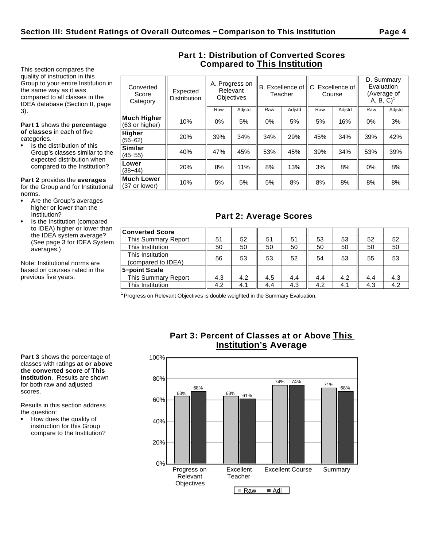This section compares the quality of instruction in this Group to your entire Institution in the same way as it was compared to all classes in the IDEA database (Section II, page 3).

**Part 1** shows the **percentage of classes** in each of five categories.

Is the distribution of this Group's classes similar to the expected distribution when compared to the Institution?

**Part 2** provides the **averages** for the Group and for Institutional norms.

- Are the Group's averages higher or lower than the Institution?
- Is the Institution (compared to IDEA) higher or lower than the IDEA system average? (See page 3 for IDEA System averages.)

Note: Institutional norms are based on courses rated in the previous five years.

| Converted<br>Score<br>Category       | Expected<br><b>Distribution</b> |     | A. Progress on<br>Relevant<br><b>Objectives</b> |     | B. Excellence of<br>Teacher | Course | C. Excellence of | $A, B, C$ <sup>1</sup> | D. Summary<br>Evaluation<br>(Average of |
|--------------------------------------|---------------------------------|-----|-------------------------------------------------|-----|-----------------------------|--------|------------------|------------------------|-----------------------------------------|
|                                      |                                 | Raw | Adjstd                                          | Raw | Adjstd                      | Raw    | Adjstd           | Raw                    | Adjstd                                  |
| <b>Much Higher</b><br>(63 or higher) | 10%                             | 0%  | 5%                                              | 0%  | 5%                          | 5%     | 16%              | 0%                     | 3%                                      |
| <b>Higher</b><br>$(56 - 62)$         | 20%                             | 39% | 34%                                             | 34% | 29%                         | 45%    | 34%              | 39%                    | 42%                                     |
| <b>Similar</b><br>$(45 - 55)$        | 40%                             | 47% | 45%                                             | 53% | 45%                         | 39%    | 34%              | 53%                    | 39%                                     |
| Lower<br>$(38 - 44)$                 | 20%                             | 8%  | 11%                                             | 8%  | 13%                         | 3%     | 8%               | $0\%$                  | 8%                                      |
| <b>Much Lower</b><br>(37 or lower)   | 10%                             | 5%  | 5%                                              | 5%  | 8%                          | 8%     | 8%               | 8%                     | 8%                                      |

# **Part 1: Distribution of Converted Scores Compared to This Institution**

# **Part 2: Average Scores**

| <b>Converted Score</b>     |     |     |     |     |     |     |     |     |
|----------------------------|-----|-----|-----|-----|-----|-----|-----|-----|
| This Summary Report        | 51  | 52  | 51  | 51  | 53  | 53  | 52  | 52  |
| This Institution           | 50  | 50  | 50  | 50  | 50  | 50  | 50  | 50  |
| This Institution           |     |     |     |     |     |     |     |     |
| (compared to IDEA)         | 56  | 53  | 53  | 52  | 54  | 53  | 55  | 53  |
| 5-point Scale              |     |     |     |     |     |     |     |     |
| <b>This Summary Report</b> | 4.3 | 4.2 | 4.5 | 4.4 | 4.4 | 4.2 | 4.4 | 4.3 |
| This Institution           | 4.2 | 4.1 | 4.4 | 4.3 | 4.2 | 4.1 | 4.3 | 4.2 |

 $1$  Progress on Relevant Objectives is double weighted in the Summary Evaluation.

**Part 3** shows the percentage of classes with ratings **at or above the converted score** of **This Institution**. Results are shown for both raw and adjusted scores.

Results in this section address the question:

How does the quality of instruction for this Group compare to the Institution?

# **Part 3: Percent of Classes at or Above This Institution's Average**

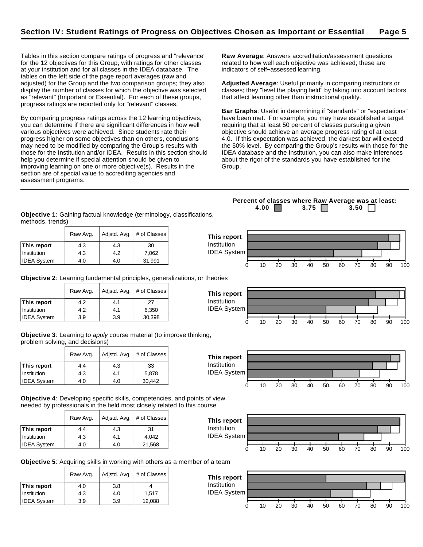Tables in this section compare ratings of progress and "relevance" for the 12 objectives for this Group, with ratings for other classes at your institution and for all classes in the IDEA database. The tables on the left side of the page report averages (raw and adjusted) for the Group and the two comparison groups; they also display the number of classes for which the objective was selected as "relevant" (Important or Essential). For each of these groups, progress ratings are reported only for "relevant" classes.

By comparing progress ratings across the 12 learning objectives, you can determine if there are significant differences in how well various objectives were achieved. Since students rate their progress higher on some objectives than on others, conclusions may need to be modified by comparing the Group's results with those for the Institution and/or IDEA. Results in this section should help you determine if special attention should be given to improving learning on one or more objective(s). Results in the section are of special value to accrediting agencies and assessment programs.

**Raw Average**: Answers accreditation/assessment questions related to how well each objective was achieved; these are indicators of self−assessed learning.

**Adjusted Average**: Useful primarily in comparing instructors or classes; they "level the playing field" by taking into account factors that affect learning other than instructional quality.

**Bar Graphs**: Useful in determining if "standards" or "expectations" have been met. For example, you may have established a target requiring that at least 50 percent of classes pursuing a given objective should achieve an average progress rating of at least 4.0. If this expectation was achieved, the darkest bar will exceed the 50% level. By comparing the Group's results with those for the IDEA database and the Institution, you can also make inferences about the rigor of the standards you have established for the Group.

**Objective 1**: Gaining factual knowledge (terminology, classifications, methods, trends)

|                    | Raw Avg. | Adjstd. Avg. | # of Classes | This report        |    |    |    |    |    |    |    |    |     |     |
|--------------------|----------|--------------|--------------|--------------------|----|----|----|----|----|----|----|----|-----|-----|
| This report        | 4.3      | 4.3          | 30           | <b>Institution</b> |    |    |    |    |    |    |    |    |     |     |
| Institution        | 4.3      | 4.2          | 7,062        | <b>IDEA System</b> |    |    |    |    |    |    |    |    |     |     |
| <b>IDEA System</b> | 4.0      | 4.0          | 31,991       |                    |    |    |    |    |    |    |    |    |     |     |
|                    |          |              |              |                    | 10 | 20 | 30 | 40 | 50 | 60 | 70 | 80 | -90 | 100 |

**This report** Institution IDEA System

**Objective 2**: Learning fundamental principles, generalizations, or theories

|                    | Raw Avg. | Adjstd. Avg. | # of Classes |
|--------------------|----------|--------------|--------------|
| This report        | 4.2      | 4.1          | 27           |
| Institution        | 4.2      | 4.1          | 6,350        |
| <b>IDEA System</b> | 3.9      | 3.9          | 30,398       |

**Objective 3**: Learning to apply course material (to improve thinking, problem solving, and decisions)

|                    | Raw Avg. |     | Adjstd. Avg.   # of Classes |
|--------------------|----------|-----|-----------------------------|
| This report        | 4.4      | 4.3 | 33                          |
| Institution        | 4.3      | 4.1 | 5,878                       |
| <b>IDEA System</b> | 4.0      | 4.0 | 30,442                      |

**Objective 4**: Developing specific skills, competencies, and points of view needed by professionals in the field most closely related to this course

|                    | Raw Avg. | Adjstd. Avg. | # of Classes |
|--------------------|----------|--------------|--------------|
| This report        | 4.4      | 4.3          | 31           |
| Institution        | 4.3      | 4.1          | 4.042        |
| <b>IDEA System</b> | 4.0      | 4.0          | 21,568       |



0 10 20 30 40 50 60 70 80 90 100

0 10 20 30 40 50 60 70 80 90 100

**Objective 5**: Acquiring skills in working with others as a member of a team

|                    | Raw Avg. | Adjstd. Avg. | # of Classes |
|--------------------|----------|--------------|--------------|
| This report        | 4.0      | 3.8          |              |
| Institution        | 4.3      | 4.0          | 1.517        |
| <b>IDEA System</b> | 3.9      | 3.9          | 12,088       |



**4.00 3.75 3.50** 

**Percent of classes where Raw Average was at least:**



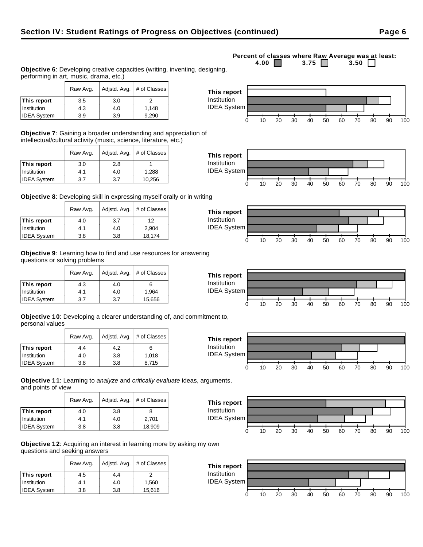# **Objective 6**: Developing creative capacities (writing, inventing, designing, performing in art, music, drama, etc.)

|                    | Raw Avg. | Adjstd. Avg. $#$ of Classes |       |
|--------------------|----------|-----------------------------|-------|
| This report        | 3.5      | 3.0                         |       |
| Institution        | 4.3      | 4.0                         | 1,148 |
| <b>IDEA System</b> | 3.9      | 3.9                         | 9,290 |

**Objective 7**: Gaining a broader understanding and appreciation of intellectual/cultural activity (music, science, literature, etc.)

|                    | Adjstd. Avg.<br>Raw Avg. |     | # of Classes |
|--------------------|--------------------------|-----|--------------|
| This report        | 3.0                      | 2.8 |              |
| Institution        | 4.1                      | 4.0 | 1,288        |
| <b>IDEA System</b> | 3.7                      | 3.7 | 10,256       |

**Objective 8**: Developing skill in expressing myself orally or in writing

|                    | Adjstd. Avg.<br>Raw Avg. |     | # of Classes |
|--------------------|--------------------------|-----|--------------|
| This report        | 4.0                      | 3.7 | 12           |
| Institution        | 4.1                      | 4.0 | 2.904        |
| <b>IDEA System</b> | 3.8                      | 3.8 | 18,174       |

**Objective 9**: Learning how to find and use resources for answering questions or solving problems

|                    | Adjstd. Avg.<br>Raw Avg. |     | # of Classes |
|--------------------|--------------------------|-----|--------------|
| This report        | 4.3                      | 4.0 | 6            |
| Institution        | 4.1                      | 4.0 | 1,964        |
| <b>IDEA System</b> | 3.7                      | 3.7 | 15,656       |

**Objective 10**: Developing a clearer understanding of, and commitment to, personal values

|                    | Raw Avg. | Adjstd. Avg. |       |
|--------------------|----------|--------------|-------|
| This report        | 4.4      | 4.2          | 6     |
| Institution        | 4.0      | 3.8          | 1.018 |
| <b>IDEA System</b> | 3.8      | 3.8          | 8.715 |

**Objective 11**: Learning to analyze and critically evaluate ideas, arguments, and points of view

|                    | Raw Avg. | Adjstd. Avg. | # of Classes |
|--------------------|----------|--------------|--------------|
| This report        | 4.0      | 3.8          | 8            |
| Institution        | 4.1      | 4.0          | 2,701        |
| <b>IDEA System</b> | 3.8      | 3.8          | 18,909       |

**Objective 12**: Acquiring an interest in learning more by asking my own questions and seeking answers

|                    | Adjstd. Avg.<br>Raw Avg. |     | # of Classes |
|--------------------|--------------------------|-----|--------------|
| This report        | 4.5                      | 4.4 |              |
| <b>Institution</b> | 4.1                      | 4.0 | 1,560        |
| <b>IDEA System</b> | 3.8                      | 3.8 | 15,616       |

#### **Percent of classes where Raw Average was at least:**<br>4.00 3.75 3.50 3.50 3.75  $\Box$













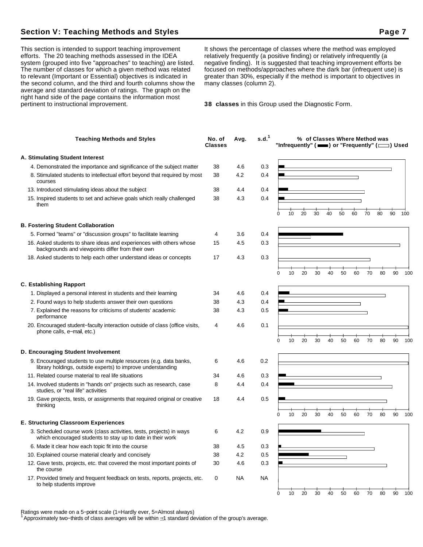## **Section V: Teaching Methods and Styles Page 7 Access Page 7 Access Page 7 Access Page 7**

This section is intended to support teaching improvement efforts. The 20 teaching methods assessed in the IDEA system (grouped into five "approaches" to teaching) are listed. The number of classes for which a given method was related to relevant (Important or Essential) objectives is indicated in the second column, and the third and fourth columns show the average and standard deviation of ratings. The graph on the right hand side of the page contains the information most pertinent to instructional improvement.

It shows the percentage of classes where the method was employed relatively frequently (a positive finding) or relatively infrequently (a negative finding). It is suggested that teaching improvement efforts be focused on methods/approaches where the dark bar (infrequent use) is greater than 30%, especially if the method is important to objectives in many classes (column 2).

**38 classes** in this Group used the Diagnostic Form.

| <b>Teaching Methods and Styles</b>                                                                                                 | No. of<br><b>Classes</b> | Avg.      | s.d. <sup>1</sup> | "Infrequently" ( $\equiv$ ) or "Frequently" ( $\equiv$ ) Used |    | % of Classes Where Method was |    |    |    |    |    |    |        |
|------------------------------------------------------------------------------------------------------------------------------------|--------------------------|-----------|-------------------|---------------------------------------------------------------|----|-------------------------------|----|----|----|----|----|----|--------|
| A. Stimulating Student Interest                                                                                                    |                          |           |                   |                                                               |    |                               |    |    |    |    |    |    |        |
| 4. Demonstrated the importance and significance of the subject matter                                                              | 38                       | 4.6       | 0.3               |                                                               |    |                               |    |    |    |    |    |    |        |
| 8. Stimulated students to intellectual effort beyond that required by most<br>courses                                              | 38                       | 4.2       | 0.4               |                                                               |    |                               |    |    |    |    |    |    |        |
| 13. Introduced stimulating ideas about the subject                                                                                 | 38                       | 4.4       | 0.4               |                                                               |    |                               |    |    |    |    |    |    |        |
| 15. Inspired students to set and achieve goals which really challenged<br>them                                                     | 38                       | 4.3       | 0.4               |                                                               |    |                               |    |    |    |    |    |    |        |
|                                                                                                                                    |                          |           |                   | 10<br>0                                                       | 20 | 30                            | 40 | 50 | 60 | 70 | 80 | 90 | 100    |
| <b>B. Fostering Student Collaboration</b>                                                                                          |                          |           |                   |                                                               |    |                               |    |    |    |    |    |    |        |
| 5. Formed "teams" or "discussion groups" to facilitate learning                                                                    | 4                        | 3.6       | 0.4               |                                                               |    |                               |    |    |    |    |    |    |        |
| 16. Asked students to share ideas and experiences with others whose<br>backgrounds and viewpoints differ from their own            | 15                       | 4.5       | 0.3               |                                                               |    |                               |    |    |    |    |    |    |        |
| 18. Asked students to help each other understand ideas or concepts                                                                 | 17                       | 4.3       | 0.3               |                                                               |    |                               |    |    |    |    |    |    |        |
|                                                                                                                                    |                          |           |                   | 10<br>$\Omega$                                                | 20 | 30                            | 40 | 50 | 60 | 70 | 80 | 90 | 100    |
| <b>C. Establishing Rapport</b>                                                                                                     |                          |           |                   |                                                               |    |                               |    |    |    |    |    |    |        |
| 1. Displayed a personal interest in students and their learning                                                                    | 34                       | 4.6       | 0.4               |                                                               |    |                               |    |    |    |    |    |    |        |
| 2. Found ways to help students answer their own questions                                                                          | 38                       | 4.3       | 0.4               |                                                               |    |                               |    |    |    |    |    |    |        |
| 7. Explained the reasons for criticisms of students' academic<br>performance                                                       | 38                       | 4.3       | 0.5               |                                                               |    |                               |    |    |    |    |    |    |        |
| 20. Encouraged student-faculty interaction outside of class (office visits,<br>phone calls, e-mail, etc.)                          | 4                        | 4.6       | 0.1               | $\Omega$<br>10                                                | 20 | 30                            | 40 | 50 | 60 | 70 | 80 | 90 | 100    |
| D. Encouraging Student Involvement                                                                                                 |                          |           |                   |                                                               |    |                               |    |    |    |    |    |    |        |
| 9. Encouraged students to use multiple resources (e.g. data banks,                                                                 | 6                        | 4.6       | 0.2               |                                                               |    |                               |    |    |    |    |    |    |        |
| library holdings, outside experts) to improve understanding                                                                        |                          |           |                   |                                                               |    |                               |    |    |    |    |    |    |        |
| 11. Related course material to real life situations                                                                                | 34                       | 4.6       | 0.3               |                                                               |    |                               |    |    |    |    |    |    |        |
| 14. Involved students in "hands on" projects such as research, case<br>studies, or "real life" activities                          | 8                        | 4.4       | 0.4               |                                                               |    |                               |    |    |    |    |    |    |        |
| 19. Gave projects, tests, or assignments that required original or creative<br>thinking                                            | 18                       | 4.4       | 0.5               |                                                               |    |                               |    |    |    |    |    |    |        |
|                                                                                                                                    |                          |           |                   | 10<br>O                                                       | 20 | 30                            | 40 | 50 | 60 | 70 | 80 | 90 | 100    |
| <b>E. Structuring Classroom Experiences</b>                                                                                        |                          |           |                   |                                                               |    |                               |    |    |    |    |    |    |        |
| 3. Scheduled course work (class activities, tests, projects) in ways<br>which encouraged students to stay up to date in their work | 6                        | 4.2       | 0.9               |                                                               |    |                               |    |    |    |    |    |    |        |
| 6. Made it clear how each topic fit into the course                                                                                | 38                       | 4.5       | 0.3               |                                                               |    |                               |    |    |    |    |    |    |        |
| 10. Explained course material clearly and concisely                                                                                | 38                       | 4.2       | 0.5               |                                                               |    |                               |    |    |    |    |    |    |        |
| 12. Gave tests, projects, etc. that covered the most important points of<br>the course                                             | 30                       | 4.6       | 0.3               |                                                               |    |                               |    |    |    |    |    |    |        |
| 17. Provided timely and frequent feedback on tests, reports, projects, etc.<br>to help students improve                            | 0                        | <b>NA</b> | <b>NA</b>         |                                                               |    |                               |    |    |    |    |    |    |        |
|                                                                                                                                    |                          |           |                   | 10<br>0                                                       | 20 | 30                            | 40 | 50 | 60 | 70 | 80 |    | 90 100 |

Ratings were made on a 5−point scale (1=Hardly ever, 5=Almost always)

<sup>1</sup>Approximately two−thirds of class averages will be within 1 standard deviation of the group's average.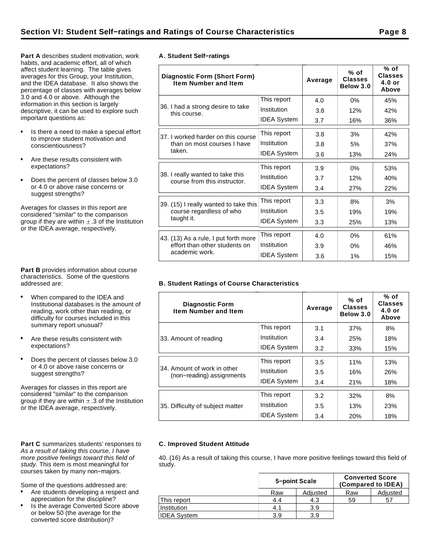**Part A** describes student motivation, work habits, and academic effort, all of which affect student learning. The table gives averages for this Group, your Institution, and the IDEA database. It also shows the percentage of classes with averages below 3.0 and 4.0 or above. Although the information in this section is largely descriptive, it can be used to explore such important questions as:

- Is there a need to make a special effort to improve student motivation and conscientiousness?
- Are these results consistent with expectations?
- Does the percent of classes below 3.0  $\bullet$ or 4.0 or above raise concerns or suggest strengths?

Averages for classes in this report are considered "similar" to the comparison group if they are within  $\pm$  .3 of the Institution or the IDEA average, respectively.

**Part B** provides information about course characteristics. Some of the questions addressed are:

- When compared to the IDEA and Institutional databases is the amount of reading, work other than reading, or difficulty for courses included in this summary report unusual?
- Are these results consistent with expectations?
- Does the percent of classes below 3.0 or 4.0 or above raise concerns or suggest strengths?

Averages for classes in this report are considered "similar" to the comparison group if they are within  $\pm$  .3 of the Institution or the IDEA average, respectively.

#### Part C summarizes students' responses to As a result of taking this course, I have more positive feelings toward this field of study. This item is most meaningful for courses taken by many non−majors.

Some of the questions addressed are:

- Are students developing a respect and appreciation for the discipline?
- Is the average Converted Score above or below 50 (the average for the converted score distribution)?

|  | A. Student Self-ratings |
|--|-------------------------|

| <b>Diagnostic Form (Short Form)</b><br><b>Item Number and Item</b> |                    | Average | $%$ of<br><b>Classes</b><br>Below 3.0 | % of<br><b>Classes</b><br>$4.0$ or<br>Above |
|--------------------------------------------------------------------|--------------------|---------|---------------------------------------|---------------------------------------------|
|                                                                    | This report        | 4.0     | 0%                                    | 45%                                         |
| 36. I had a strong desire to take<br>this course.                  | Institution        | 3.8     | 12%                                   | 42%                                         |
|                                                                    | <b>IDEA System</b> | 3.7     | 16%                                   | 36%                                         |
| 37. I worked harder on this course                                 | This report        | 3.8     | 3%                                    | 42%                                         |
| than on most courses I have                                        | Institution        | 3.8     | 5%                                    | 37%                                         |
| taken.                                                             | <b>IDEA System</b> | 3.6     | 13%                                   | 24%                                         |
|                                                                    | This report        | 3.9     | 0%                                    | 53%                                         |
| 38. I really wanted to take this<br>course from this instructor.   | Institution        | 3.7     | 12%                                   | 40%                                         |
|                                                                    | <b>IDEA System</b> | 3.4     | 27%                                   | 22%                                         |
| 39. (15) I really wanted to take this                              | This report        | 3.3     | 8%                                    | 3%                                          |
| course regardless of who                                           | Institution        | 3.5     | 19%                                   | 19%                                         |
| taught it.                                                         | <b>IDEA System</b> | 3.3     | 25%                                   | 13%                                         |
| 43. (13) As a rule, I put forth more                               | This report        | 4.0     | 0%                                    | 61%                                         |
| effort than other students on                                      | Institution        | 3.9     | 0%                                    | 46%                                         |
| academic work.                                                     | <b>IDEA System</b> | 3.6     | 1%                                    | 15%                                         |

## **B. Student Ratings of Course Characteristics**

| <b>Diagnostic Form</b><br><b>Item Number and Item</b>    |                    | Average | $%$ of<br><b>Classes</b><br>Below 3.0 | % of<br><b>Classes</b><br>$4.0$ or<br>Above |
|----------------------------------------------------------|--------------------|---------|---------------------------------------|---------------------------------------------|
|                                                          | This report        | 3.1     | 37%                                   | 8%                                          |
| 33. Amount of reading                                    | Institution        | 3.4     | 25%                                   | 18%                                         |
|                                                          | <b>IDEA System</b> | 3.2     | 33%                                   | 15%                                         |
|                                                          | This report        | 3.5     | 11%                                   | 13%                                         |
| 34. Amount of work in other<br>(non-reading) assignments | Institution        | 3.5     | 16%                                   | 26%                                         |
|                                                          | <b>IDEA System</b> | 3.4     | 21%                                   | 18%                                         |
|                                                          | This report        | 3.2     | 32%                                   | 8%                                          |
| 35. Difficulty of subject matter                         | Institution        | 3.5     | 13%                                   | 23%                                         |
|                                                          | <b>IDEA System</b> | 3.4     | 20%                                   | 18%                                         |

## **C. Improved Student Attitude**

40. (16) As a result of taking this course, I have more positive feelings toward this field of study.

|                    |     | 5-point Scale | <b>Converted Score</b> | (Compared to IDEA) |
|--------------------|-----|---------------|------------------------|--------------------|
|                    | Raw | Adjusted      | Raw                    | Adjusted           |
| This report        | 4.4 | 4.3           | 59                     | 57                 |
| Institution        | 4.1 | 3.9           |                        |                    |
| <b>IDEA System</b> | 3.9 | 3.9           |                        |                    |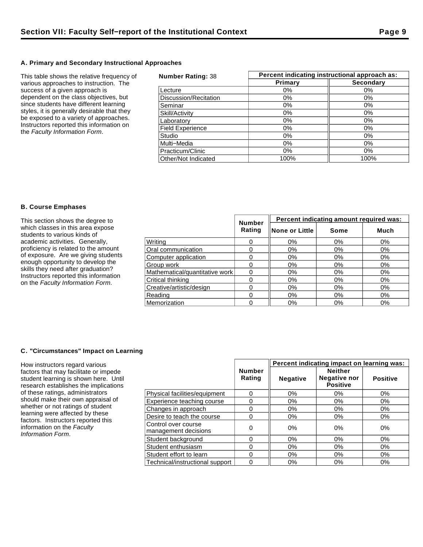## **A. Primary and Secondary Instructional Approaches**

This table shows the relative frequency of various approaches to instruction. The success of a given approach is dependent on the class objectives, but since students have different learning styles, it is generally desirable that they be exposed to a variety of approaches. Instructors reported this information on the Faculty Information Form.

| <b>Number Rating: 38</b> | Percent indicating instructional approach as: |                  |  |  |
|--------------------------|-----------------------------------------------|------------------|--|--|
|                          | Primary                                       | <b>Secondary</b> |  |  |
| Lecture                  | $0\%$                                         | $0\%$            |  |  |
| Discussion/Recitation    | $0\%$                                         | $0\%$            |  |  |
| Seminar                  | 0%                                            | 0%               |  |  |
| Skill/Activity           | 0%                                            | $0\%$            |  |  |
| Laboratory               | $0\%$                                         | 0%               |  |  |
| <b>Field Experience</b>  | 0%                                            | $0\%$            |  |  |
| Studio                   | $0\%$                                         | $0\%$            |  |  |
| Multi-Media              | $0\%$                                         | $0\%$            |  |  |
| Practicum/Clinic         | $0\%$                                         | $0\%$            |  |  |
| Other/Not Indicated      | 100%                                          | 100%             |  |  |

## **B. Course Emphases**

| This section shows the degree to                                                                                                                                                                                                                                       | <b>Number</b>                  | Percent indicating amount required was: |                 |       |       |
|------------------------------------------------------------------------------------------------------------------------------------------------------------------------------------------------------------------------------------------------------------------------|--------------------------------|-----------------------------------------|-----------------|-------|-------|
| which classes in this area expose<br>students to various kinds of                                                                                                                                                                                                      |                                | Rating                                  | ∥None or Little | Some  | Much  |
| academic activities. Generally,<br>proficiency is related to the amount<br>of exposure. Are we giving students<br>enough opportunity to develop the<br>skills they need after graduation?<br>Instructors reported this information<br>on the Faculty Information Form. | Writina                        |                                         | 0%              | 0%    | 0%    |
|                                                                                                                                                                                                                                                                        | Oral communication             |                                         | 0%              | 0%    | 0%    |
|                                                                                                                                                                                                                                                                        | Computer application           |                                         | $0\%$           | 0%    | 0%    |
|                                                                                                                                                                                                                                                                        | Group work                     |                                         | 0%              | $0\%$ | $0\%$ |
|                                                                                                                                                                                                                                                                        | Mathematical/quantitative work |                                         | 0%              | $0\%$ | 0%    |
|                                                                                                                                                                                                                                                                        | Critical thinking              |                                         | 0%              | 0%    | $0\%$ |
|                                                                                                                                                                                                                                                                        | Creative/artistic/design       |                                         | 0%              | 0%    | 0%    |
|                                                                                                                                                                                                                                                                        | Reading                        |                                         | 0%              | $0\%$ | 0%    |
|                                                                                                                                                                                                                                                                        | Memorization                   |                                         | 0%              | $0\%$ | 0%    |

## **C. "Circumstances" Impact on Learning**

How instructors regard various factors that may facilitate or impede student learning is shown here. Until research establishes the implications of these ratings, administrators should make their own appraisal of whether or not ratings of student learning were affected by these factors. Instructors reported this information on the Faculty Information Form.

|                                             |                         | Percent indicating impact on learning was: |                                                          |                 |  |
|---------------------------------------------|-------------------------|--------------------------------------------|----------------------------------------------------------|-----------------|--|
|                                             | <b>Number</b><br>Rating | <b>Negative</b>                            | <b>Neither</b><br><b>Negative nor</b><br><b>Positive</b> | <b>Positive</b> |  |
| Physical facilities/equipment               | 0                       | 0%                                         | $0\%$                                                    | 0%              |  |
| Experience teaching course                  | 0                       | 0%                                         | 0%                                                       | 0%              |  |
| Changes in approach                         | 0                       | $0\%$                                      | 0%                                                       | 0%              |  |
| Desire to teach the course                  | 0                       | $0\%$                                      | $0\%$                                                    | $0\%$           |  |
| Control over course<br>management decisions | 0                       | $0\%$                                      | 0%                                                       | 0%              |  |
| Student background                          | 0                       | 0%                                         | 0%                                                       | $0\%$           |  |
| Student enthusiasm                          | 0                       | $0\%$                                      | $0\%$                                                    | 0%              |  |
| Student effort to learn                     | 0                       | 0%                                         | 0%                                                       | 0%              |  |
| Technical/instructional support             | 0                       | 0%                                         | $0\%$                                                    | 0%              |  |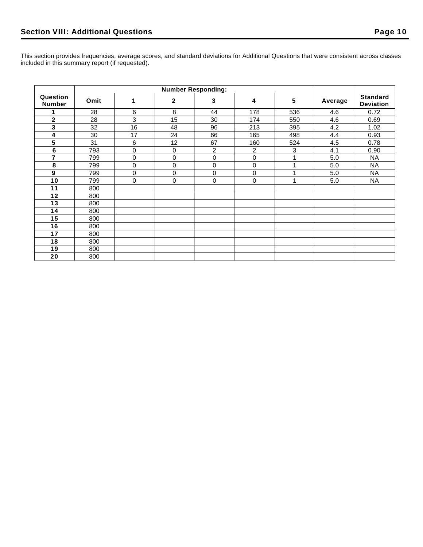This section provides frequencies, average scores, and standard deviations for Additional Questions that were consistent across classes included in this summary report (if requested).

|                           | <b>Number Responding:</b> |    |              |                |     |     |         |                                     |
|---------------------------|---------------------------|----|--------------|----------------|-----|-----|---------|-------------------------------------|
| Question<br><b>Number</b> | Omit                      | 1  | $\mathbf{2}$ | 3              | 4   | 5   | Average | <b>Standard</b><br><b>Deviation</b> |
|                           | 28                        | 6  | 8            | 44             | 178 | 536 | 4.6     | 0.72                                |
| $\mathbf{2}$              | 28                        | 3  | 15           | 30             | 174 | 550 | 4.6     | 0.69                                |
| 3                         | 32                        | 16 | 48           | 96             | 213 | 395 | 4.2     | 1.02                                |
| 4                         | 30                        | 17 | 24           | 66             | 165 | 498 | 4.4     | 0.93                                |
| 5                         | 31                        | 6  | 12           | 67             | 160 | 524 | 4.5     | 0.78                                |
| $\bf 6$                   | 793                       | 0  | 0            | $\overline{c}$ | 2   | 3   | 4.1     | 0.90                                |
| $\overline{7}$            | 799                       | 0  | 0            | 0              | 0   | 1   | 5.0     | <b>NA</b>                           |
| 8                         | 799                       | 0  | 0            | $\mathbf 0$    | 0   |     | 5.0     | <b>NA</b>                           |
| 9                         | 799                       | 0  | 0            | $\mathbf 0$    | 0   |     | 5.0     | <b>NA</b>                           |
| 10                        | 799                       | 0  | 0            | 0              | 0   | 4   | 5.0     | <b>NA</b>                           |
| 11                        | 800                       |    |              |                |     |     |         |                                     |
| 12                        | 800                       |    |              |                |     |     |         |                                     |
| 13                        | 800                       |    |              |                |     |     |         |                                     |
| 14                        | 800                       |    |              |                |     |     |         |                                     |
| 15                        | 800                       |    |              |                |     |     |         |                                     |
| 16                        | 800                       |    |              |                |     |     |         |                                     |
| 17                        | 800                       |    |              |                |     |     |         |                                     |
| 18                        | 800                       |    |              |                |     |     |         |                                     |
| 19                        | 800                       |    |              |                |     |     |         |                                     |
| 20                        | 800                       |    |              |                |     |     |         |                                     |